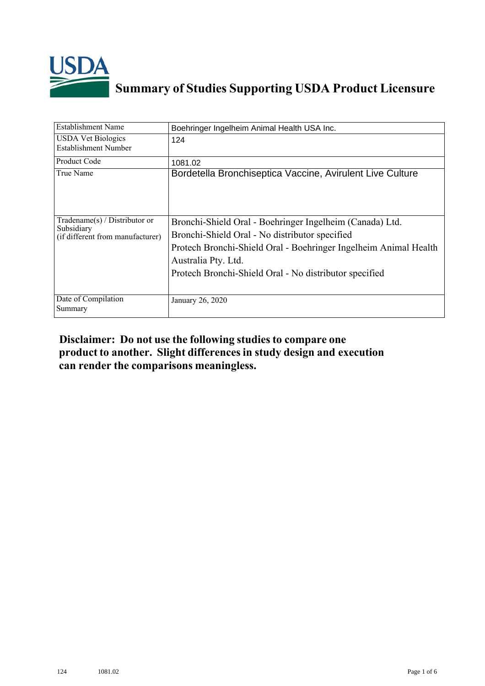

## **Summary of Studies Supporting USDA Product Licensure**

| <b>Establishment Name</b>                                                          | Boehringer Ingelheim Animal Health USA Inc.                                                                                                                                                                                                                     |
|------------------------------------------------------------------------------------|-----------------------------------------------------------------------------------------------------------------------------------------------------------------------------------------------------------------------------------------------------------------|
| <b>USDA Vet Biologics</b><br>Establishment Number                                  | 124                                                                                                                                                                                                                                                             |
| Product Code                                                                       | 1081.02                                                                                                                                                                                                                                                         |
| True Name                                                                          | Bordetella Bronchiseptica Vaccine, Avirulent Live Culture                                                                                                                                                                                                       |
| Tradename $(s)$ / Distributor or<br>Subsidiary<br>(if different from manufacturer) | Bronchi-Shield Oral - Boehringer Ingelheim (Canada) Ltd.<br>Bronchi-Shield Oral - No distributor specified<br>Protech Bronchi-Shield Oral - Boehringer Ingelheim Animal Health<br>Australia Pty. Ltd.<br>Protech Bronchi-Shield Oral - No distributor specified |
| Date of Compilation<br>Summary                                                     | January 26, 2020                                                                                                                                                                                                                                                |

## **Disclaimer: Do not use the following studiesto compare one product to another. Slight differencesin study design and execution can render the comparisons meaningless.**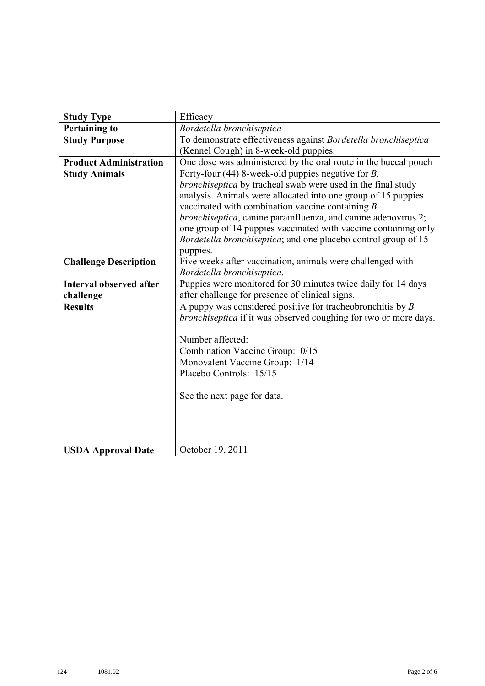| <b>Study Type</b>              | Efficacy                                                                                                              |  |
|--------------------------------|-----------------------------------------------------------------------------------------------------------------------|--|
| <b>Pertaining to</b>           | Bordetella bronchiseptica                                                                                             |  |
| <b>Study Purpose</b>           | To demonstrate effectiveness against Bordetella bronchiseptica                                                        |  |
|                                | (Kennel Cough) in 8-week-old puppies.                                                                                 |  |
| <b>Product Administration</b>  | One dose was administered by the oral route in the buccal pouch                                                       |  |
| <b>Study Animals</b>           | Forty-four (44) 8-week-old puppies negative for $B$ .                                                                 |  |
|                                | bronchiseptica by tracheal swab were used in the final study                                                          |  |
|                                | analysis. Animals were allocated into one group of 15 puppies<br>vaccinated with combination vaccine containing $B$ . |  |
|                                | <i>bronchiseptica</i> , canine parainfluenza, and canine adenovirus 2;                                                |  |
|                                | one group of 14 puppies vaccinated with vaccine containing only                                                       |  |
|                                | Bordetella bronchiseptica; and one placebo control group of 15                                                        |  |
|                                | puppies.                                                                                                              |  |
| <b>Challenge Description</b>   | Five weeks after vaccination, animals were challenged with                                                            |  |
| <b>Interval observed after</b> | Bordetella bronchiseptica.<br>Puppies were monitored for 30 minutes twice daily for 14 days                           |  |
| challenge                      | after challenge for presence of clinical signs.                                                                       |  |
| <b>Results</b>                 | A puppy was considered positive for tracheobronchitis by $B$ .                                                        |  |
|                                | bronchiseptica if it was observed coughing for two or more days.                                                      |  |
|                                |                                                                                                                       |  |
|                                | Number affected:                                                                                                      |  |
|                                | Combination Vaccine Group: 0/15                                                                                       |  |
|                                | Monovalent Vaccine Group: 1/14                                                                                        |  |
|                                | Placebo Controls: 15/15                                                                                               |  |
|                                | See the next page for data.                                                                                           |  |
|                                |                                                                                                                       |  |
|                                |                                                                                                                       |  |
|                                |                                                                                                                       |  |
| <b>USDA Approval Date</b>      | October 19, 2011                                                                                                      |  |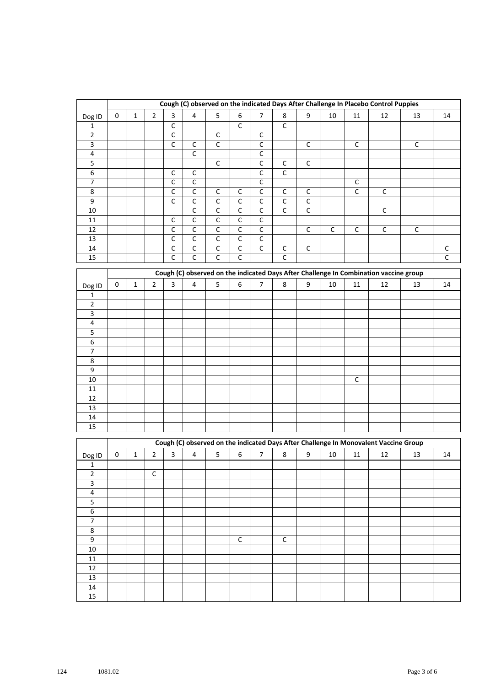| Cough (C) observed on the indicated Days After Challenge In Placebo Control Puppies<br>9<br>$\overline{4}$<br>5<br>$\boldsymbol{6}$<br>$\overline{7}$<br>0<br>$\overline{2}$<br>3<br>8<br>10<br>11<br>12<br>$\mathbf{1}$<br>Dog ID |             |             |
|------------------------------------------------------------------------------------------------------------------------------------------------------------------------------------------------------------------------------------|-------------|-------------|
|                                                                                                                                                                                                                                    | 13          | 14          |
| $\overline{C}$<br>$\overline{C}$<br>$\overline{C}$                                                                                                                                                                                 |             |             |
| $\mathbf 1$                                                                                                                                                                                                                        |             |             |
| $\mathsf C$<br>$\mathbf 2$<br>$\mathsf C$<br>$\mathsf C$                                                                                                                                                                           |             |             |
| $\overline{C}$<br>$\overline{C}$<br>$\overline{\mathbf{3}}$<br>$\mathsf C$<br>$\mathsf C$<br>$\mathsf C$<br>$\mathsf C$                                                                                                            | $\mathsf C$ |             |
| $\overline{C}$<br>$\mathsf C$<br>4                                                                                                                                                                                                 |             |             |
| $\overline{C}$<br>$\overline{C}$<br>5<br>$\mathsf C$<br>$\mathsf C$                                                                                                                                                                |             |             |
| $\overline{C}$<br>$\overline{C}$<br>$\mathsf C$<br>6<br>$\mathsf C$                                                                                                                                                                |             |             |
| $\mathsf C$<br>$\overline{\phantom{a}}$<br>C<br>$\mathsf C$<br>$\mathsf C$                                                                                                                                                         |             |             |
| $\mathsf C$<br>$\mathsf C$<br>$\mathsf C$<br>8<br>$\mathsf C$<br>$\mathsf C$<br>$\mathsf C$<br>$\mathsf C$<br>C<br>$\mathsf C$                                                                                                     |             |             |
| $\mathsf C$<br>$\mathsf C$<br>9<br>С<br>$\mathsf C$<br>$\mathsf C$<br>С<br>$\mathsf C$                                                                                                                                             |             |             |
| $\overline{C}$<br>$\overline{C}$<br>$\overline{C}$<br>$\overline{C}$<br>$\overline{C}$<br>$\overline{C}$<br>$10\,$<br>$\mathsf C$                                                                                                  |             |             |
| $\overline{C}$<br>C<br>C<br>$\mathsf C$<br>С<br>11                                                                                                                                                                                 |             |             |
| $\overline{C}$<br>$\overline{C}$<br>$\overline{C}$<br>$\overline{C}$<br>$\overline{C}$<br>$\overline{C}$<br>$\overline{C}$<br>$\overline{C}$<br>12<br>$\mathsf C$                                                                  | $\mathsf C$ |             |
| $\overline{C}$<br>$\overline{C}$<br>$\overline{C}$<br>$\overline{C}$<br>C<br>13                                                                                                                                                    |             |             |
| $\overline{C}$<br>$\overline{C}$<br>$\overline{C}$<br>$\overline{C}$<br>$\mathsf C$<br>${\mathsf C}$<br>14<br>$\mathsf C$                                                                                                          |             | $\mathsf C$ |
| $\overline{C}$<br>$\overline{C}$<br>$\overline{C}$<br>$\overline{C}$<br>$\mathsf{C}$<br>15                                                                                                                                         |             | $\mathsf C$ |
|                                                                                                                                                                                                                                    |             |             |
| Cough (C) observed on the indicated Days After Challenge In Combination vaccine group                                                                                                                                              |             |             |
| 3<br>$\overline{\mathbf{4}}$<br>5<br>6<br>9<br>0<br>$\overline{2}$<br>$\overline{7}$<br>8<br>$10\,$<br>11<br>$\mathbf{1}$<br>12<br>Dog ID                                                                                          | 13          | 14          |
| $\mathbf{1}$                                                                                                                                                                                                                       |             |             |
| $\mathbf 2$                                                                                                                                                                                                                        |             |             |
| 3                                                                                                                                                                                                                                  |             |             |
| $\overline{\mathbf{4}}$                                                                                                                                                                                                            |             |             |
| 5                                                                                                                                                                                                                                  |             |             |
| 6                                                                                                                                                                                                                                  |             |             |
| $\overline{7}$                                                                                                                                                                                                                     |             |             |
| 8                                                                                                                                                                                                                                  |             |             |
| 9                                                                                                                                                                                                                                  |             |             |
| 10<br>C                                                                                                                                                                                                                            |             |             |
| 11                                                                                                                                                                                                                                 |             |             |
|                                                                                                                                                                                                                                    |             |             |
| 12                                                                                                                                                                                                                                 |             |             |
| 13                                                                                                                                                                                                                                 |             |             |
| 14                                                                                                                                                                                                                                 |             |             |
| 15                                                                                                                                                                                                                                 |             |             |
| Cough (C) observed on the indicated Days After Challenge In Monovalent Vaccine Group                                                                                                                                               |             |             |
| $\boldsymbol{6}$<br>3<br>$\overline{\mathbf{4}}$<br>5<br>$\overline{7}$<br>8<br>$\boldsymbol{9}$<br>0<br>$\overline{2}$<br>$10\,$<br>11<br>12<br>1                                                                                 | 13          |             |
| Dog ID                                                                                                                                                                                                                             |             | 14          |
| 1<br>$\overline{2}$<br>$\mathsf C$                                                                                                                                                                                                 |             |             |
|                                                                                                                                                                                                                                    |             |             |
|                                                                                                                                                                                                                                    |             |             |
| $\overline{3}$                                                                                                                                                                                                                     |             |             |
| $\overline{4}$                                                                                                                                                                                                                     |             |             |
| $\overline{5}$                                                                                                                                                                                                                     |             |             |
| $6\,$                                                                                                                                                                                                                              |             |             |
| $\overline{7}$                                                                                                                                                                                                                     |             |             |
| 8                                                                                                                                                                                                                                  |             |             |
| $\overline{9}$<br>$\overline{C}$<br>$\overline{C}$                                                                                                                                                                                 |             |             |
| $10\,$                                                                                                                                                                                                                             |             |             |
| $11\,$                                                                                                                                                                                                                             |             |             |
| $12\,$                                                                                                                                                                                                                             |             |             |
|                                                                                                                                                                                                                                    |             |             |
| 13<br>14                                                                                                                                                                                                                           |             |             |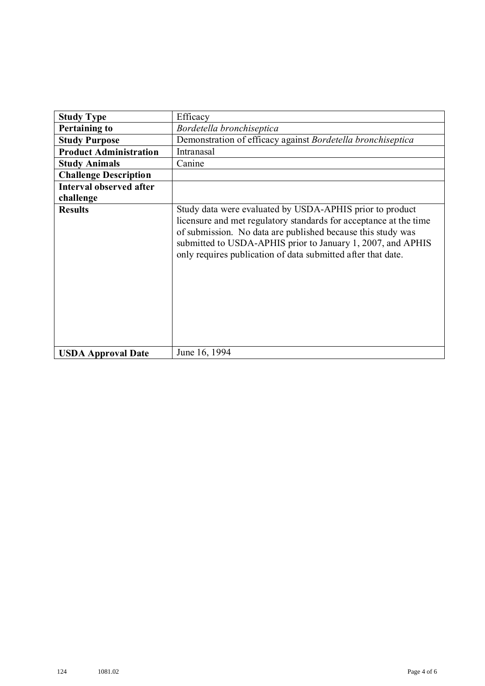| <b>Study Type</b>              | Efficacy                                                                                                                                                                                                                                                                                                                    |
|--------------------------------|-----------------------------------------------------------------------------------------------------------------------------------------------------------------------------------------------------------------------------------------------------------------------------------------------------------------------------|
| <b>Pertaining to</b>           | Bordetella bronchiseptica                                                                                                                                                                                                                                                                                                   |
| <b>Study Purpose</b>           | Demonstration of efficacy against Bordetella bronchiseptica                                                                                                                                                                                                                                                                 |
| <b>Product Administration</b>  | Intranasal                                                                                                                                                                                                                                                                                                                  |
| <b>Study Animals</b>           | Canine                                                                                                                                                                                                                                                                                                                      |
| <b>Challenge Description</b>   |                                                                                                                                                                                                                                                                                                                             |
| <b>Interval observed after</b> |                                                                                                                                                                                                                                                                                                                             |
| challenge                      |                                                                                                                                                                                                                                                                                                                             |
| <b>Results</b>                 | Study data were evaluated by USDA-APHIS prior to product<br>licensure and met regulatory standards for acceptance at the time<br>of submission. No data are published because this study was<br>submitted to USDA-APHIS prior to January 1, 2007, and APHIS<br>only requires publication of data submitted after that date. |
| <b>USDA Approval Date</b>      | June 16, 1994                                                                                                                                                                                                                                                                                                               |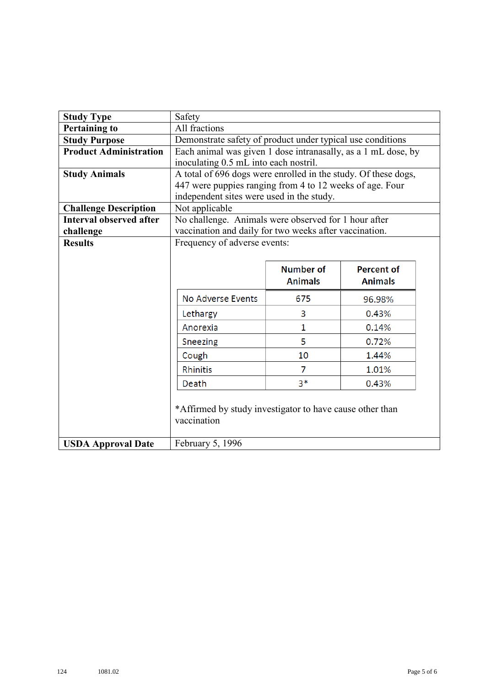| <b>Study Type</b>              | Safety                                                                                                  |                  |                   |  |
|--------------------------------|---------------------------------------------------------------------------------------------------------|------------------|-------------------|--|
| <b>Pertaining to</b>           | All fractions                                                                                           |                  |                   |  |
| <b>Study Purpose</b>           | Demonstrate safety of product under typical use conditions                                              |                  |                   |  |
| <b>Product Administration</b>  | Each animal was given 1 dose intranasally, as a 1 mL dose, by                                           |                  |                   |  |
| <b>Study Animals</b>           | inoculating 0.5 mL into each nostril.<br>A total of 696 dogs were enrolled in the study. Of these dogs, |                  |                   |  |
|                                | 447 were puppies ranging from 4 to 12 weeks of age. Four                                                |                  |                   |  |
|                                | independent sites were used in the study.                                                               |                  |                   |  |
| <b>Challenge Description</b>   | Not applicable                                                                                          |                  |                   |  |
| <b>Interval observed after</b> | No challenge. Animals were observed for 1 hour after                                                    |                  |                   |  |
| challenge                      | vaccination and daily for two weeks after vaccination.                                                  |                  |                   |  |
| <b>Results</b>                 | Frequency of adverse events:                                                                            |                  |                   |  |
|                                |                                                                                                         |                  |                   |  |
|                                |                                                                                                         | <b>Number of</b> | <b>Percent of</b> |  |
|                                |                                                                                                         | <b>Animals</b>   | <b>Animals</b>    |  |
|                                | No Adverse Events                                                                                       | 675              | 96.98%            |  |
|                                | Lethargy                                                                                                | 3                | 0.43%             |  |
|                                | Anorexia                                                                                                | $\mathbf{1}$     | 0.14%             |  |
|                                | Sneezing                                                                                                | 5                | 0.72%             |  |
|                                | Cough                                                                                                   | 10               | 1.44%             |  |
|                                | Rhinitis                                                                                                | 7                | 1.01%             |  |
|                                | Death                                                                                                   | $3*$             | 0.43%             |  |
|                                | *Affirmed by study investigator to have cause other than<br>vaccination                                 |                  |                   |  |
| <b>USDA Approval Date</b>      | February 5, 1996                                                                                        |                  |                   |  |